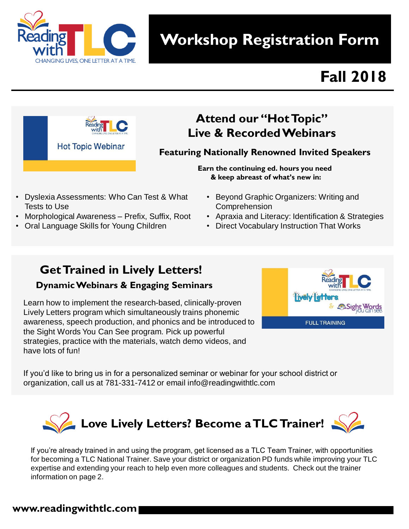

# **Workshop Registration Form**

# **Fall 2018**



## **Attend our "Hot Topic" Live & Recorded Webinars**

**Featuring Nationally Renowned Invited Speakers**

**Earn the continuing ed. hours you need & keep abreast of what's new in:** 

- Dyslexia Assessments: Who Can Test & What Tests to Use
- Morphological Awareness Prefix, Suffix, Root
- Oral Language Skills for Young Children
- Beyond Graphic Organizers: Writing and Comprehension
- Apraxia and Literacy: Identification & Strategies
- Direct Vocabulary Instruction That Works

# **Get Trained in Lively Letters!**

### **Dynamic Webinars & Engaging Seminars**

Learn how to implement the research-based, clinically-proven Lively Letters program which simultaneously trains phonemic awareness, speech production, and phonics and be introduced to the Sight Words You Can See program. Pick up powerful strategies, practice with the materials, watch demo videos, and have lots of fun!



If you'd like to bring us in for a personalized seminar or webinar for your school district or organization, call us at 781-331-7412 or email info@readingwithtlc.com



If you're already trained in and using the program, get licensed as a TLC Team Trainer, with opportunities for becoming a TLC National Trainer. Save your district or organization PD funds while improving your TLC expertise and extending your reach to help even more colleagues and students. Check out the trainer information on page 2.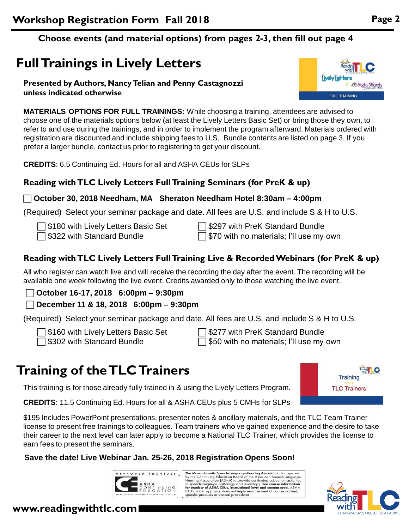### **Choose events (and material options) from pages 2-3, then fill out page 4**

# **Full Trainings in Lively Letters**

#### **Presented by Authors, Nancy Telian and Penny Castagnozzi unless indicated otherwise**

**MATERIALS OPTIONS FOR FULL TRAININGS:** While choosing a training, attendees are advised to choose one of the materials options below (at least the Lively Letters Basic Set) or bring those they own, to refer to and use during the trainings, and in order to implement the program afterward. Materials ordered with registration are discounted and include shipping fees to U.S. Bundle contents are listed on page 3. If you prefer a larger bundle, contact us prior to registering to get your discount.

**CREDITS**: 6.5 Continuing Ed. Hours for all and ASHA CEUs for SLPs

#### **Reading with TLC Lively Letters Full Training Seminars (for PreK & up)**

#### **October 30, 2018 Needham, MA Sheraton Needham Hotel 8:30am – 4:00pm**

(Required) Select your seminar package and date. All fees are U.S. and include S & H to U.S.

| <b>S180 with Lively Letters Basic Set</b> |  |
|-------------------------------------------|--|
|-------------------------------------------|--|

 $\Box$  \$322 with Standard Bundle

 \$297 with PreK Standard Bundle  $\Box$  \$70 with no materials; I'll use my own

## **Reading with TLC Lively Letters Full Training Live & Recorded Webinars (for PreK & up)**

All who register can watch live and will receive the recording the day after the event. The recording will be available one week following the live event. Credits awarded only to those watching the live event.

**October 16-17, 2018 6:00pm – 9:30pm**

**December 11 & 18, 2018 6:00pm – 9:30pm**

(Required) Select your seminar package and date. All fees are U.S. and include S & H to U.S.

\$160 with Lively Letters Basic Set

□ \$302 with Standard Bundle

 $\Box$  \$277 with PreK Standard Bundle  $\Box$  \$50 with no materials; I'll use my own

# **Training of the TLC Trainers**

This training is for those already fully trained in & using the Lively Letters Program.

**CREDITS**: 11.5 Continuing Ed. Hours for all & ASHA CEUs plus 5 CMHs for SLPs

\$195 Includes PowerPoint presentations, presenter notes & ancillary materials, and the TLC Team Trainer license to present free trainings to colleagues. Team trainers who've gained experience and the desire to take their career to the next level can later apply to become a National TLC Trainer, which provides the license to earn fees to present the seminars.

## **Save the date! Live Webinar Jan. 25-26, 2018 Registration Opens Soon!**

PPROVED PROVIDER

The Massachusetts Speech-Language-Hearing Association is approved<br>by the Continuing Education Board of the American Speech-Language-<br>Hearing Association (ASHA) to provide continuing education activities<br>in speech-language

**www.readingwithtlc.com**





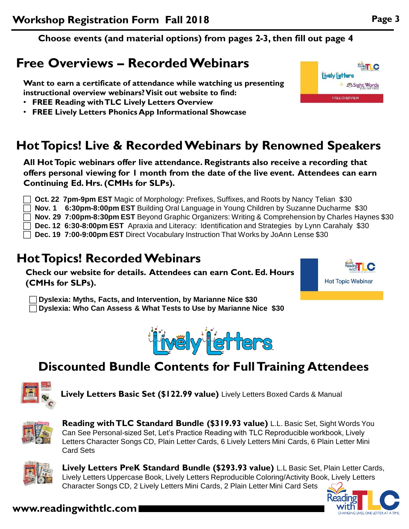**Choose events (and material options) from pages 2-3, then fill out page 4**

# **Free Overviews – Recorded Webinars**

**Want to earn a certificate of attendance while watching us presenting instructional overview webinars? Visit out website to find:** 

- **FREE Reading with TLC Lively Letters Overview**
- **FREE Lively Letters Phonics App Informational Showcase**

## **Hot Topics! Live & Recorded Webinars by Renowned Speakers**

**All Hot Topic webinars offer live attendance. Registrants also receive a recording that offers personal viewing for 1 month from the date of the live event. Attendees can earn Continuing Ed. Hrs. (CMHs for SLPs).**

 **Oct. 22 7pm-9pm EST** Magic of Morphology: Prefixes, Suffixes, and Roots by Nancy Telian \$30 **Nov. 1 6:30pm-8:00pm EST** Building Oral Language in Young Children by Suzanne Ducharme \$30 **Nov. 29 7:00pm-8:30pm EST** Beyond Graphic Organizers: Writing & Comprehension by Charles Haynes \$30 **Dec. 12 6:30-8:00pm EST** Apraxia and Literacy: Identification and Strategies by Lynn Carahaly \$30 **Dec. 19 7:00-9:00pm EST** Direct Vocabulary Instruction That Works by JoAnn Lense \$30

## **Hot Topics! Recorded Webinars**

**Check our website for details. Attendees can earn Cont. Ed. Hours (CMHs for SLPs).**

 **Dyslexia: Myths, Facts, and Intervention, by Marianne Nice \$30 Dyslexia: Who Can Assess & What Tests to Use by Marianne Nice \$30**



thwalytietters



**Lively Letters Basic Set (\$122.99 value)** Lively Letters Boxed Cards & Manual



**Reading with TLC Standard Bundle (\$319.93 value)** L.L. Basic Set, Sight Words You Can See Personal-sized Set, Let's Practice Reading with TLC Reproducible workbook, Lively Letters Character Songs CD, Plain Letter Cards, 6 Lively Letters Mini Cards, 6 Plain Letter Mini Card Sets



**Lively Letters PreK Standard Bundle (\$293.93 value)** L.L Basic Set, Plain Letter Cards, Lively Letters Uppercase Book, Lively Letters Reproducible Coloring/Activity Book, Lively Letters Character Songs CD, 2 Lively Letters Mini Cards, 2 Plain Letter Mini Card Sets